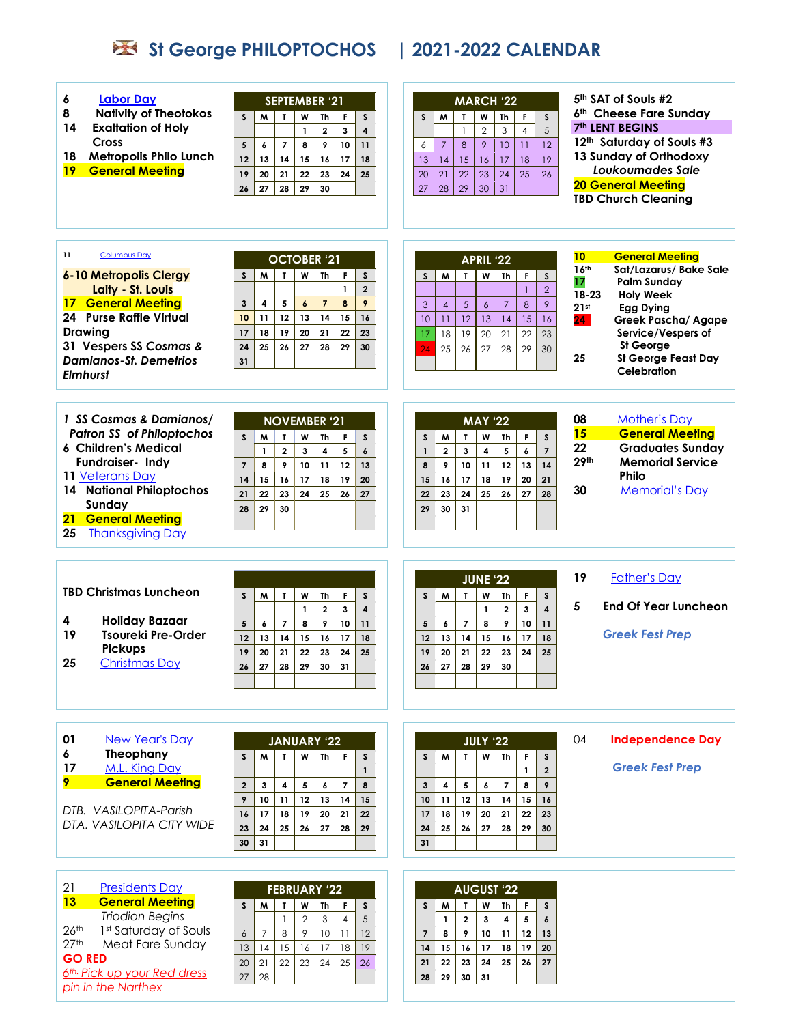## **St George PHILOPTOCHOS | 2021-2022 CALENDAR**

| <b>Labor Day</b><br>6<br><b>Nativity of Theotokos</b><br>8<br><b>Exaltation of Holy</b><br>14<br><b>Cross</b><br>18<br><b>Metropolis Philo Lunch</b><br><b>General Meeting</b><br>19                                                            | <b>SEPTEMBER '21</b><br>$\mathsf{s}$<br>W<br>F.<br>M<br>$\mathbf{r}$<br>Th<br>S.<br>$\overline{\mathbf{3}}$<br>$\mathbf{1}$<br>$\overline{2}$<br>$\overline{\mathbf{4}}$<br>$\overline{7}$<br>8<br>9<br>10<br>5<br>6<br>11<br>12<br>13<br>14<br>15<br>16<br>17<br>18<br>19<br>20<br>21<br>22<br>23<br>24<br>25<br>26<br>28<br>29<br>27<br>30                 | <b>MARCH '22</b><br>M<br>W<br>S<br>T.<br>Th<br>F<br>S<br>5<br>$\overline{2}$<br>3<br>$\mathbf{1}$<br>$\overline{4}$<br>$\boldsymbol{8}$<br>9<br>10<br>11<br>12<br>$\overline{7}$<br>6<br>16<br>17<br>18<br>15<br>19<br>13<br>14<br>22<br>23<br>24<br>25<br>26<br>20<br>21<br>29<br>30<br>31<br>28<br>27                                             | 5th SAT of Souls #2<br>6th Cheese Fare Sunday<br><b>7th LENT BEGINS</b><br>12th Saturday of Souls #3<br>13 Sunday of Orthodoxy<br>Loukoumades Sale<br><b>20 General Meeting</b><br><b>TBD Church Cleaning</b>                                                                                                                          |
|-------------------------------------------------------------------------------------------------------------------------------------------------------------------------------------------------------------------------------------------------|--------------------------------------------------------------------------------------------------------------------------------------------------------------------------------------------------------------------------------------------------------------------------------------------------------------------------------------------------------------|-----------------------------------------------------------------------------------------------------------------------------------------------------------------------------------------------------------------------------------------------------------------------------------------------------------------------------------------------------|----------------------------------------------------------------------------------------------------------------------------------------------------------------------------------------------------------------------------------------------------------------------------------------------------------------------------------------|
| 11<br><b>Columbus Day</b><br>6-10 Metropolis Clergy<br>Laity - St. Louis<br><b>17 General Meeting</b><br><b>24 Purse Raffle Virtual</b><br><b>Drawing</b><br>31 Vespers SS Cosmas &<br><b>Damianos-St. Demetrios</b><br><b>Elmhurst</b>         | <b>OCTOBER '21</b><br>W<br>M<br>$\mathbf{r}$<br>$\mathsf{Th}$<br>$\mathsf F$<br>$\mathsf{s}$<br>$\mathsf{S}$<br>$\overline{2}$<br>$\mathbf{1}$<br>4<br>5<br>8<br>9<br>$\mathbf{3}$<br>$\boldsymbol{6}$<br>$\overline{7}$<br>12<br>10<br>11<br>13<br>14<br>15<br>16<br>18<br>22<br>17<br>19<br>20<br>21<br>23<br>24<br>25<br>26<br>27<br>29<br>28<br>30<br>31 | APRIL '22<br>W<br><b>Th</b><br>S<br>M<br>$\mathbf{r}$<br>F.<br>$\mathsf{s}$<br>$\overline{2}$<br>$\overline{1}$<br>9<br>$\overline{5}$<br>$\overline{7}$<br>8<br>$\overline{4}$<br>$\boldsymbol{6}$<br>3<br>12<br>14<br>13<br>15<br>16<br>10<br>11<br>19<br>20<br>21<br>18<br>22<br>23<br>17<br>$\overline{24}$<br>25<br>26<br>27<br>28<br>29<br>30 | <b>General Meeting</b><br>10 <sub>1</sub><br>16 <sup>th</sup><br>Sat/Lazarus/ Bake Sale<br>17<br><b>Palm Sunday</b><br>18-23<br><b>Holy Week</b><br>21 <sub>st</sub><br><b>Egg Dying</b><br>24 <sub>1</sub><br><b>Greek Pascha/ Agape</b><br>Service/Vespers of<br><b>St George</b><br>25<br><b>St George Feast Day</b><br>Celebration |
| 1 SS Cosmas & Damianos/<br><b>Patron SS of Philoptochos</b><br><b>6 Children's Medical</b><br>Fundraiser- Indy<br>11 Veterans Day<br><b>14 National Philoptochos</b><br>Sunday<br><b>General Meeting</b><br>21<br>25<br><b>Thanksgiving Day</b> | <b>NOVEMBER '21</b><br>$\mathsf{s}$<br>$\mathbf{I}$<br>W<br>M<br><b>Th</b><br>F<br>s.<br>$\overline{2}$<br>$\mathbf{3}$<br>5<br>$\mathbf{1}$<br>4<br>$\epsilon$<br>9<br>12<br>$\overline{7}$<br>8<br>10<br>11<br>13<br>15<br>16<br>14<br>17<br>18<br>19<br>20<br>22<br>24<br>21<br>23<br>25<br>26<br>27<br>29<br>30<br>28                                    | <b>MAY '22</b><br>$\mathsf{s}$<br>M<br>$\mathbf{L}$<br>W<br><b>Th</b><br>F<br>S<br>$\overline{\mathbf{4}}$<br>5<br>$\boldsymbol{6}$<br>$\overline{7}$<br>$\overline{2}$<br>3<br>$\mathbf{1}$<br>8<br>12<br>14<br>9<br>10<br>11<br>13<br>18<br>15<br>16<br>17<br>19<br>20<br>21<br>24<br>25<br>26<br>28<br>22<br>23<br>27<br>30<br>31<br>29          | 08<br><b>Mother's Day</b><br>15<br><b>General Meeting</b><br>22<br><b>Graduates Sunday</b><br>29 <sup>th</sup><br><b>Memorial Service</b><br>Philo<br>30<br><b>Memorial's Day</b>                                                                                                                                                      |
| <b>TBD Christmas Luncheon</b><br><b>Holiday Bazaar</b><br>4<br>19<br><b>Tsoureki Pre-Order</b><br><b>Pickups</b><br>25<br><b>Christmas Day</b>                                                                                                  | F<br>M<br>$\mathbf T$<br>W<br>Th<br>S<br>s.<br>$\overline{\mathbf{3}}$<br>$\overline{\mathbf{4}}$<br>$\overline{2}$<br>$\mathbf{1}$<br>$\overline{7}$<br>10<br>5<br>8<br>9<br>11<br>6<br>12<br>13<br>14<br>15<br>17<br>18<br>16<br>21<br>19<br>20<br>22<br>23<br>24<br>25<br>27<br>29<br>26<br>28<br>$30 \mid 31$                                            | <b>JUNE '22</b><br>F<br>M<br>W<br>Th<br>$\mathsf{s}$<br>S<br>$\mathbf{r}$<br>$\overline{\mathbf{4}}$<br>$\overline{\mathbf{3}}$<br>$\mathbf{1}$<br>$\overline{2}$<br>$\overline{\phantom{a}}$<br>10<br>5<br>8<br>9<br>6<br>11<br>14<br>15<br>16<br>17<br>18<br>12<br>13<br>22<br>23<br>19<br>20<br>21<br>24<br>25<br>27<br>28<br>29<br>30<br>26     | 19<br><b>Father's Day</b><br>5<br><b>End Of Year Luncheon</b><br><b>Greek Fest Prep</b>                                                                                                                                                                                                                                                |
| 01<br><b>New Year's Day</b><br>6<br>Theophany<br>17<br>M.L. King Day<br><b>General Meeting</b><br>9<br>DTB. VASILOPITA-Parish<br>DTA, VASILOPITA CITY WIDE                                                                                      | <b>JANUARY '22</b><br>W<br>$\mathsf{Th}$<br>F.<br>M<br>$\mathbf{I}$<br>S.<br>S.<br>$\mathbf{1}$<br>$\overline{7}$<br>8<br>$\overline{2}$<br>3<br>4<br>5<br>6<br>10<br>11<br>12<br>9<br>13<br>14<br>15<br>16<br>17<br>18<br>19<br>21<br>20<br>22<br>23<br>24<br>25<br>26<br>27<br>28<br>29<br>30<br>31                                                        | <b>JULY '22</b><br>W<br>Th<br>F<br>S.<br>W<br>T.<br>S<br>$\overline{2}$<br>$\mathbf{1}$<br>$\overline{7}$<br>9<br>5<br>6<br>8<br>3<br>4<br>14<br>11<br>12<br>13<br>15<br>16<br>10<br>18<br>19<br>20<br>21<br>22<br>23<br>17<br>25<br>30<br>26<br>27<br>28<br>29<br>24<br>31                                                                         | 04<br><b>Independence Day</b><br><b>Greek Fest Prep</b>                                                                                                                                                                                                                                                                                |
| 21<br><b>Presidents Day</b><br>13<br><b>General Meeting</b><br><b>Triodion Begins</b>                                                                                                                                                           | <b>FEBRUARY '22</b><br>S<br>M<br>$\mathbf{T}$<br>s<br>W<br>Th<br>F.                                                                                                                                                                                                                                                                                          | <b>AUGUST '22</b><br>S<br>M<br>T<br>W<br>Th<br>F.<br>S.                                                                                                                                                                                                                                                                                             |                                                                                                                                                                                                                                                                                                                                        |

26<sup>th</sup> 1<sup>st</sup> Saturday of Souls 27<sup>th</sup> Meat Fare Sunday **GO RED** *6 th. Pick up your Red dress pin in the Narthex*

| <b>FEBRUARY '22</b> |                 |    |                |    |    |    |
|---------------------|-----------------|----|----------------|----|----|----|
| S                   | M               | Τ  | w              | Th | F  | S  |
|                     |                 |    | $\overline{2}$ | 3  | 4  | 5  |
| 6                   |                 | 8  | 9              | 10 |    | 12 |
| 13                  | $\overline{14}$ | 15 | 16             | 17 | 18 | 19 |
| 20                  | 21              | 22 | 23             | 24 | 25 | 26 |
| 27                  | 28              |    |                |    |    |    |
|                     |                 |    |                |    |    |    |

| <b>AUGUST '22</b> |    |                |    |    |    |    |
|-------------------|----|----------------|----|----|----|----|
| S                 | M  | T              | W  | Th | F  | S  |
|                   | 1  | $\overline{2}$ | 3  | 4  | 5  | 6  |
| $\overline{7}$    | 8  | 9              | 10 | 11 | 12 | 13 |
| 14                | 15 | 16             | 17 | 18 | 19 | 20 |
| 21                | 22 | 23             | 24 | 25 | 26 | 27 |
| 28                | 29 | 30             | 31 |    |    |    |
|                   |    |                |    |    |    |    |